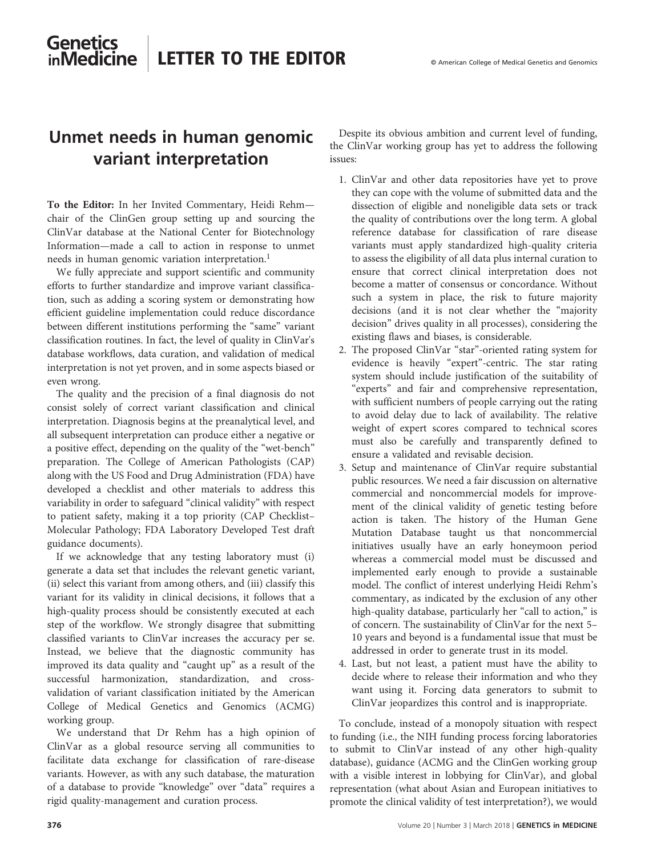## **Genetics** LETTER TO THE EDITOR © American College of Medical Genetics and Genomics**inMedicine**

# Unmet needs in human genomic variant interpretation

To the Editor: In her Invited Commentary, Heidi Rehm chair of the ClinGen group setting up and sourcing the ClinVar database at the National Center for Biotechnology Information—made a call to action in response to unmet needs in human genomic variation interpretation.<sup>[1](#page-1-0)</sup>

We fully appreciate and support scientific and community efforts to further standardize and improve variant classification, such as adding a scoring system or demonstrating how efficient guideline implementation could reduce discordance between different institutions performing the "same" variant classification routines. In fact, the level of quality in ClinVar's database workflows, data curation, and validation of medical interpretation is not yet proven, and in some aspects biased or even wrong.

The quality and the precision of a final diagnosis do not consist solely of correct variant classification and clinical interpretation. Diagnosis begins at the preanalytical level, and all subsequent interpretation can produce either a negative or a positive effect, depending on the quality of the "wet-bench" preparation. The College of American Pathologists (CAP) along with the US Food and Drug Administration (FDA) have developed a checklist and other materials to address this variability in order to safeguard "clinical validity" with respect to patient safety, making it a top priority (CAP Checklist– Molecular Pathology; FDA Laboratory Developed Test draft guidance documents).

If we acknowledge that any testing laboratory must (i) generate a data set that includes the relevant genetic variant, (ii) select this variant from among others, and (iii) classify this variant for its validity in clinical decisions, it follows that a high-quality process should be consistently executed at each step of the workflow. We strongly disagree that submitting classified variants to ClinVar increases the accuracy per se. Instead, we believe that the diagnostic community has improved its data quality and "caught up" as a result of the successful harmonization, standardization, and crossvalidation of variant classification initiated by the American College of Medical Genetics and Genomics (ACMG) working group.

We understand that Dr Rehm has a high opinion of ClinVar as a global resource serving all communities to facilitate data exchange for classification of rare-disease variants. However, as with any such database, the maturation of a database to provide "knowledge" over "data" requires a rigid quality-management and curation process.

Despite its obvious ambition and current level of funding, the ClinVar working group has yet to address the following issues:

- 1. ClinVar and other data repositories have yet to prove they can cope with the volume of submitted data and the dissection of eligible and noneligible data sets or track the quality of contributions over the long term. A global reference database for classification of rare disease variants must apply standardized high-quality criteria to assess the eligibility of all data plus internal curation to ensure that correct clinical interpretation does not become a matter of consensus or concordance. Without such a system in place, the risk to future majority decisions (and it is not clear whether the "majority decision" drives quality in all processes), considering the existing flaws and biases, is considerable.
- 2. The proposed ClinVar "star"-oriented rating system for evidence is heavily "expert"-centric. The star rating system should include justification of the suitability of "experts" and fair and comprehensive representation, with sufficient numbers of people carrying out the rating to avoid delay due to lack of availability. The relative weight of expert scores compared to technical scores must also be carefully and transparently defined to ensure a validated and revisable decision.
- 3. Setup and maintenance of ClinVar require substantial public resources. We need a fair discussion on alternative commercial and noncommercial models for improvement of the clinical validity of genetic testing before action is taken. The history of the Human Gene Mutation Database taught us that noncommercial initiatives usually have an early honeymoon period whereas a commercial model must be discussed and implemented early enough to provide a sustainable model. The conflict of interest underlying Heidi Rehm's commentary, as indicated by the exclusion of any other high-quality database, particularly her "call to action," is of concern. The sustainability of ClinVar for the next 5– 10 years and beyond is a fundamental issue that must be addressed in order to generate trust in its model.
- 4. Last, but not least, a patient must have the ability to decide where to release their information and who they want using it. Forcing data generators to submit to ClinVar jeopardizes this control and is inappropriate.

To conclude, instead of a monopoly situation with respect to funding (i.e., the NIH funding process forcing laboratories to submit to ClinVar instead of any other high-quality database), guidance (ACMG and the ClinGen working group with a visible interest in lobbying for ClinVar), and global representation (what about Asian and European initiatives to promote the clinical validity of test interpretation?), we would